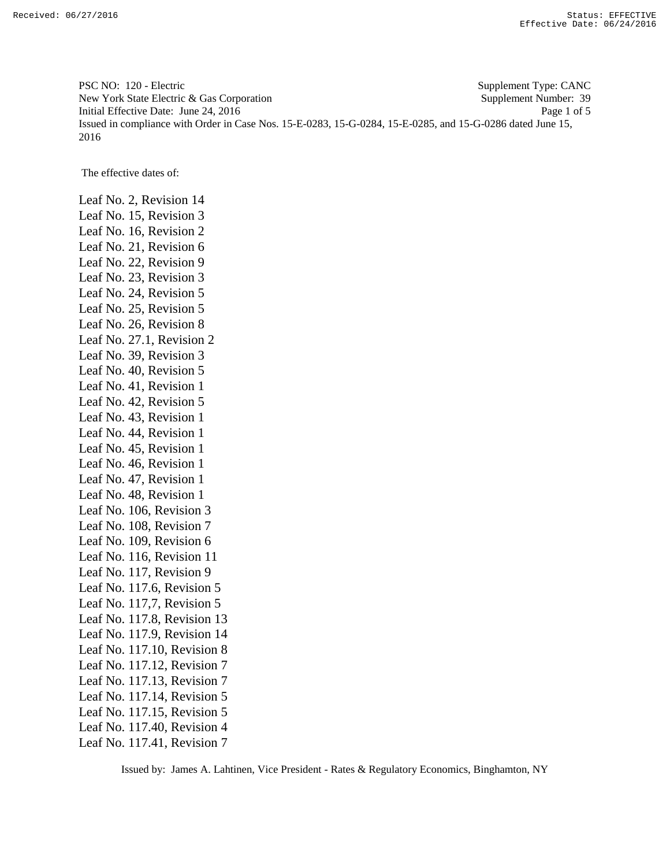PSC NO: 120 - Electric Supplement Type: CANC New York State Electric & Gas Corporation Supplement Number: 39 Initial Effective Date: June 24, 2016 Page 1 of 5 Issued in compliance with Order in Case Nos. 15-E-0283, 15-G-0284, 15-E-0285, and 15-G-0286 dated June 15, 2016

The effective dates of:

Leaf No. 2, Revision 14 Leaf No. 15, Revision 3 Leaf No. 16, Revision 2 Leaf No. 21, Revision 6 Leaf No. 22, Revision 9 Leaf No. 23, Revision 3 Leaf No. 24, Revision 5 Leaf No. 25, Revision 5 Leaf No. 26, Revision 8 Leaf No. 27.1, Revision 2 Leaf No. 39, Revision 3 Leaf No. 40, Revision 5 Leaf No. 41, Revision 1 Leaf No. 42, Revision 5 Leaf No. 43, Revision 1 Leaf No. 44, Revision 1 Leaf No. 45, Revision 1 Leaf No. 46, Revision 1 Leaf No. 47, Revision 1 Leaf No. 48, Revision 1 Leaf No. 106, Revision 3 Leaf No. 108, Revision 7 Leaf No. 109, Revision 6 Leaf No. 116, Revision 11 Leaf No. 117, Revision 9 Leaf No. 117.6, Revision 5 Leaf No. 117,7, Revision 5 Leaf No. 117.8, Revision 13 Leaf No. 117.9, Revision 14 Leaf No. 117.10, Revision 8 Leaf No. 117.12, Revision 7 Leaf No. 117.13, Revision 7 Leaf No. 117.14, Revision 5 Leaf No. 117.15, Revision 5 Leaf No. 117.40, Revision 4 Leaf No. 117.41, Revision 7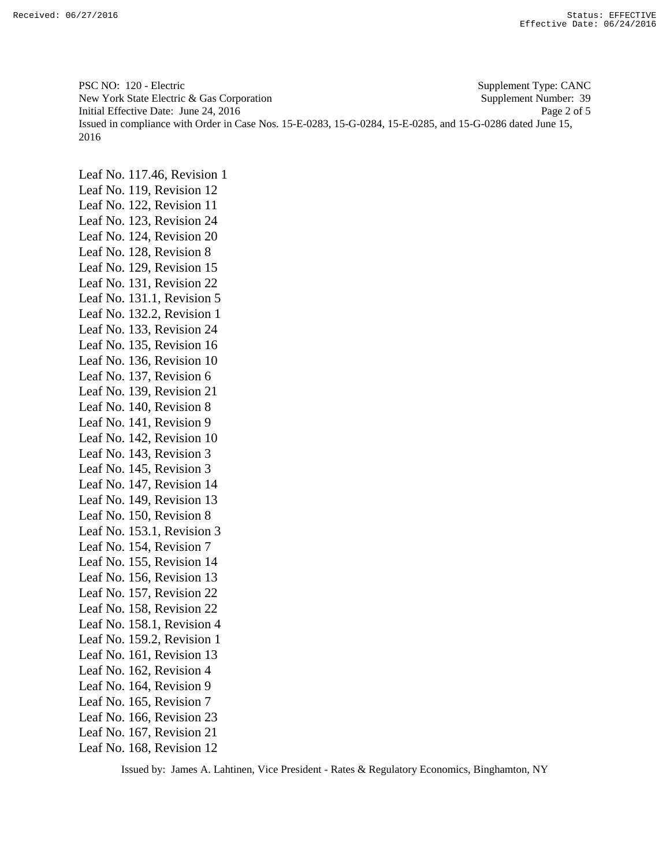PSC NO: 120 - Electric Supplement Type: CANC New York State Electric & Gas Corporation Supplement Number: 39 Initial Effective Date: June 24, 2016 Page 2 of 5 Issued in compliance with Order in Case Nos. 15-E-0283, 15-G-0284, 15-E-0285, and 15-G-0286 dated June 15, 2016

Leaf No. 117.46, Revision 1 Leaf No. 119, Revision 12 Leaf No. 122, Revision 11 Leaf No. 123, Revision 24 Leaf No. 124, Revision 20 Leaf No. 128, Revision 8 Leaf No. 129, Revision 15 Leaf No. 131, Revision 22 Leaf No. 131.1, Revision 5 Leaf No. 132.2, Revision 1 Leaf No. 133, Revision 24 Leaf No. 135, Revision 16 Leaf No. 136, Revision 10 Leaf No. 137, Revision 6 Leaf No. 139, Revision 21 Leaf No. 140, Revision 8 Leaf No. 141, Revision 9 Leaf No. 142, Revision 10 Leaf No. 143, Revision 3 Leaf No. 145, Revision 3 Leaf No. 147, Revision 14 Leaf No. 149, Revision 13 Leaf No. 150, Revision 8 Leaf No. 153.1, Revision 3 Leaf No. 154, Revision 7 Leaf No. 155, Revision 14 Leaf No. 156, Revision 13 Leaf No. 157, Revision 22 Leaf No. 158, Revision 22 Leaf No. 158.1, Revision 4 Leaf No. 159.2, Revision 1 Leaf No. 161, Revision 13 Leaf No. 162, Revision 4 Leaf No. 164, Revision 9 Leaf No. 165, Revision 7 Leaf No. 166, Revision 23 Leaf No. 167, Revision 21 Leaf No. 168, Revision 12

Issued by: James A. Lahtinen, Vice President - Rates & Regulatory Economics, Binghamton, NY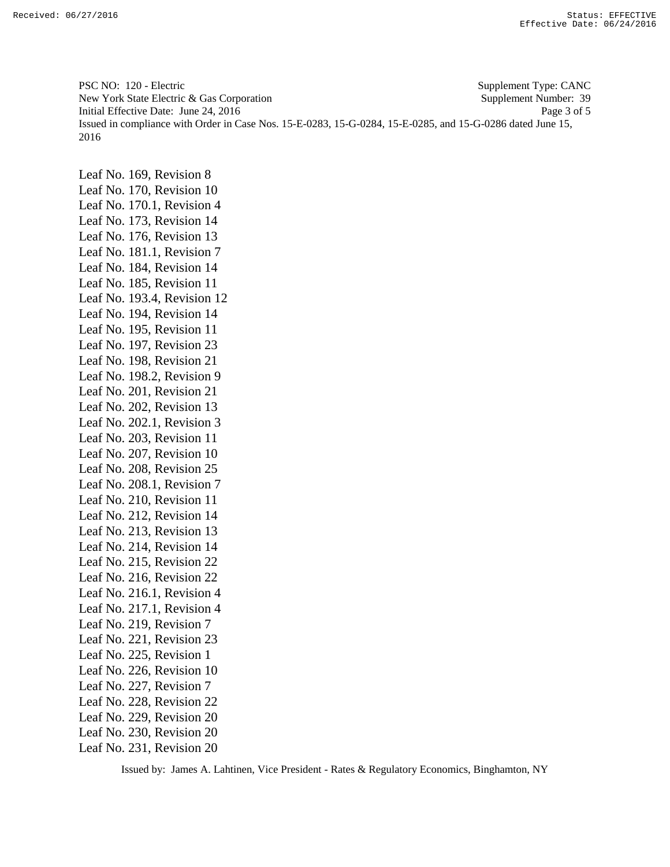PSC NO: 120 - Electric Supplement Type: CANC New York State Electric & Gas Corporation Supplement Number: 39 Initial Effective Date: June 24, 2016 Page 3 of 5 Issued in compliance with Order in Case Nos. 15-E-0283, 15-G-0284, 15-E-0285, and 15-G-0286 dated June 15, 2016

Leaf No. 169, Revision 8 Leaf No. 170, Revision 10 Leaf No. 170.1, Revision 4 Leaf No. 173, Revision 14 Leaf No. 176, Revision 13 Leaf No. 181.1, Revision 7 Leaf No. 184, Revision 14 Leaf No. 185, Revision 11 Leaf No. 193.4, Revision 12 Leaf No. 194, Revision 14 Leaf No. 195, Revision 11 Leaf No. 197, Revision 23 Leaf No. 198, Revision 21 Leaf No. 198.2, Revision 9 Leaf No. 201, Revision 21 Leaf No. 202, Revision 13 Leaf No. 202.1, Revision 3 Leaf No. 203, Revision 11 Leaf No. 207, Revision 10 Leaf No. 208, Revision 25 Leaf No. 208.1, Revision 7 Leaf No. 210, Revision 11 Leaf No. 212, Revision 14 Leaf No. 213, Revision 13 Leaf No. 214, Revision 14 Leaf No. 215, Revision 22 Leaf No. 216, Revision 22 Leaf No. 216.1, Revision 4 Leaf No. 217.1, Revision 4 Leaf No. 219, Revision 7 Leaf No. 221, Revision 23 Leaf No. 225, Revision 1 Leaf No. 226, Revision 10 Leaf No. 227, Revision 7 Leaf No. 228, Revision 22 Leaf No. 229, Revision 20 Leaf No. 230, Revision 20 Leaf No. 231, Revision 20

Issued by: James A. Lahtinen, Vice President - Rates & Regulatory Economics, Binghamton, NY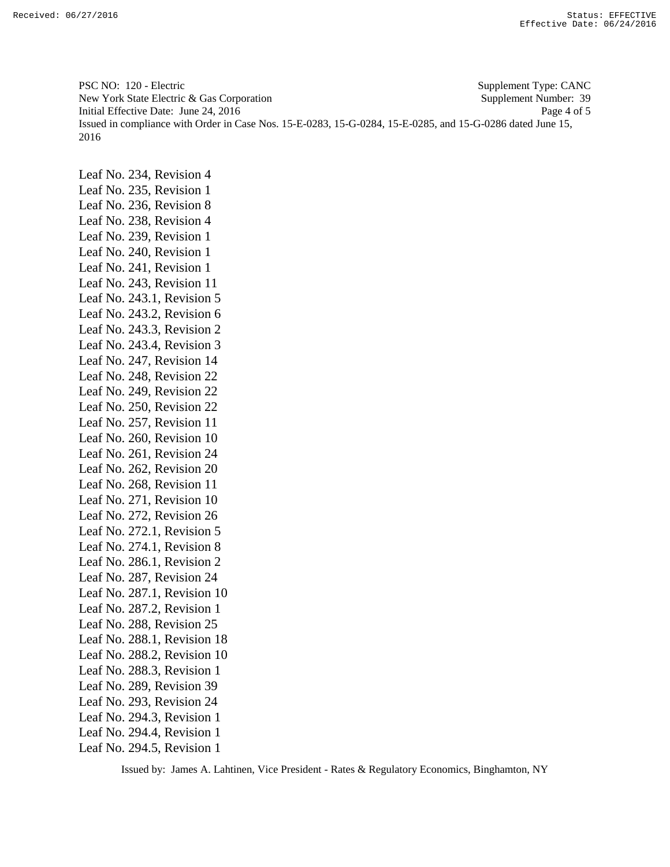PSC NO: 120 - Electric Supplement Type: CANC New York State Electric & Gas Corporation Supplement Number: 39 Initial Effective Date: June 24, 2016 Page 4 of 5 Issued in compliance with Order in Case Nos. 15-E-0283, 15-G-0284, 15-E-0285, and 15-G-0286 dated June 15, 2016

Leaf No. 234, Revision 4 Leaf No. 235, Revision 1 Leaf No. 236, Revision 8 Leaf No. 238, Revision 4 Leaf No. 239, Revision 1 Leaf No. 240, Revision 1 Leaf No. 241, Revision 1 Leaf No. 243, Revision 11 Leaf No. 243.1, Revision 5 Leaf No. 243.2, Revision 6 Leaf No. 243.3, Revision 2 Leaf No. 243.4, Revision 3 Leaf No. 247, Revision 14 Leaf No. 248, Revision 22 Leaf No. 249, Revision 22 Leaf No. 250, Revision 22 Leaf No. 257, Revision 11 Leaf No. 260, Revision 10 Leaf No. 261, Revision 24 Leaf No. 262, Revision 20 Leaf No. 268, Revision 11 Leaf No. 271, Revision 10 Leaf No. 272, Revision 26 Leaf No. 272.1, Revision 5 Leaf No. 274.1, Revision 8 Leaf No. 286.1, Revision 2 Leaf No. 287, Revision 24 Leaf No. 287.1, Revision 10 Leaf No. 287.2, Revision 1 Leaf No. 288, Revision 25 Leaf No. 288.1, Revision 18 Leaf No. 288.2, Revision 10 Leaf No. 288.3, Revision 1 Leaf No. 289, Revision 39 Leaf No. 293, Revision 24 Leaf No. 294.3, Revision 1 Leaf No. 294.4, Revision 1 Leaf No. 294.5, Revision 1

Issued by: James A. Lahtinen, Vice President - Rates & Regulatory Economics, Binghamton, NY